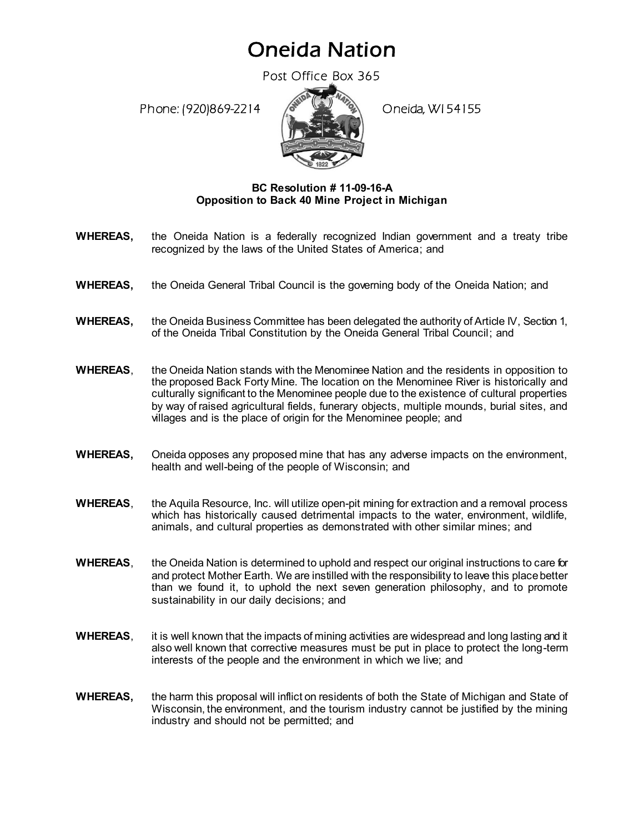## Oneida Nation

Post Office Box 365

Phone: (920)869-2214 (8 April 1994) Oneida, WI 54155



## **BC Resolution # 11-09-16-A Opposition to Back 40 Mine Project in Michigan**

- **WHEREAS,** the Oneida Nation is a federally recognized Indian government and a treaty tribe recognized by the laws of the United States of America; and
- **WHEREAS,** the Oneida General Tribal Council is the governing body of the Oneida Nation; and
- **WHEREAS,** the Oneida Business Committee has been delegated the authority of Article IV, Section 1, of the Oneida Tribal Constitution by the Oneida General Tribal Council; and
- **WHEREAS**, the Oneida Nation stands with the Menominee Nation and the residents in opposition to the proposed Back Forty Mine. The location on the Menominee River is historically and culturally significant to the Menominee people due to the existence of cultural properties by way of raised agricultural fields, funerary objects, multiple mounds, burial sites, and villages and is the place of origin for the Menominee people; and
- **WHEREAS,** Oneida opposes any proposed mine that has any adverse impacts on the environment, health and well-being of the people of Wisconsin; and
- **WHEREAS**, the Aquila Resource, Inc. will utilize open-pit mining for extraction and a removal process which has historically caused detrimental impacts to the water, environment, wildlife, animals, and cultural properties as demonstrated with other similar mines; and
- **WHEREAS**, the Oneida Nation is determined to uphold and respect our original instructions to care for and protect Mother Earth. We are instilled with the responsibility to leave this place better than we found it, to uphold the next seven generation philosophy, and to promote sustainability in our daily decisions; and
- **WHEREAS**, it is well known that the impacts of mining activities are widespread and long lasting and it also well known that corrective measures must be put in place to protect the long-term interests of the people and the environment in which we live; and
- **WHEREAS,** the harm this proposal will inflict on residents of both the State of Michigan and State of Wisconsin, the environment, and the tourism industry cannot be justified by the mining industry and should not be permitted; and